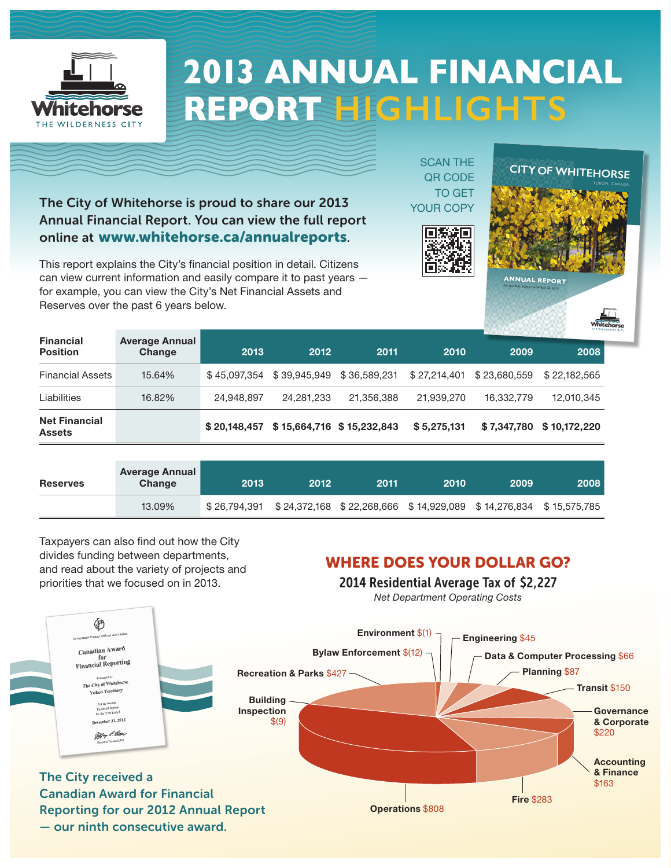

# **2013 ANNUAL FINANCIAL REPORT HIGHLIGHTS**

The City of Whitehorse is proud to share our 2013 Annual Financial Report. You can view the full report online at www.whitehorse.ca/annualreports.

This report explains the City's financial position in detail. Citizens can view current information and easily compare it to past years for example, you can view the City's Net Financial Assets and Reserves over the past 6 years below.

SCAN THE QR CODE TO GET YOUR COPY





| <b>Financial</b><br><b>Position</b>   | <b>Average Annual</b><br>Change |              |                                           |            |              |              |                          |
|---------------------------------------|---------------------------------|--------------|-------------------------------------------|------------|--------------|--------------|--------------------------|
|                                       |                                 | 2013         | 2012                                      | 2011       | 2010         | 2009         | 2008                     |
| <b>Financial Assets</b>               | 15.64%                          | \$45.097.354 | \$39.945.949 \$36.589.231                 |            | \$27,214,401 | \$23.680.559 | \$22,182,565             |
| Liabilities                           | 16.82%                          | 24,948,897   | 24,281,233                                | 21,356,388 | 21,939,270   | 16,332,779   | 12,010,345               |
| <b>Net Financial</b><br><b>Assets</b> |                                 |              | $$20,148,457$ $$15,664,716$ $$15,232,843$ |            | \$5,275,131  |              | \$7,347,780 \$10,172,220 |

| <b>Reserves</b> | <b>Average Annual</b><br>Change | 2013          | 2012 | 2011 | 2010 | 2009                                                             | 2008 |
|-----------------|---------------------------------|---------------|------|------|------|------------------------------------------------------------------|------|
|                 | 13.09%                          | \$ 26.794.391 |      |      |      | \$24,372,168 \$22,268,666 \$14,929,089 \$14,276,834 \$15,575,785 |      |

Taxpayers can also find out how the City divides funding between departments, and read about the variety of projects and priorities that we focused on in 2013.

#### WHERE DOES YOUR DOLLAR GO?

2014 Residential Average Tax of \$2,227

*Net Department Operating Costs*